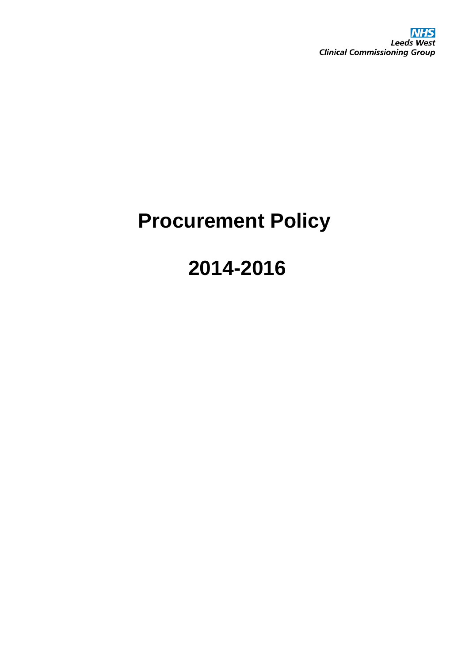# **Procurement Policy**

# **2014-2016**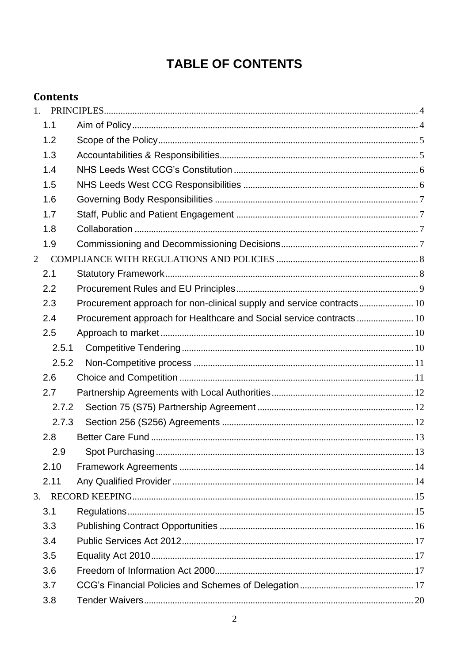# **TABLE OF CONTENTS**

# **Contents**

|                | 1.    |                                                                       |  |
|----------------|-------|-----------------------------------------------------------------------|--|
|                | 1.1   |                                                                       |  |
|                | 1.2   |                                                                       |  |
|                | 1.3   |                                                                       |  |
|                | 1.4   |                                                                       |  |
|                | 1.5   |                                                                       |  |
|                | 1.6   |                                                                       |  |
|                | 1.7   |                                                                       |  |
|                | 1.8   |                                                                       |  |
|                | 1.9   |                                                                       |  |
| $\overline{2}$ |       |                                                                       |  |
|                | 2.1   |                                                                       |  |
|                | 2.2   |                                                                       |  |
|                | 2.3   | Procurement approach for non-clinical supply and service contracts 10 |  |
|                | 2.4   | Procurement approach for Healthcare and Social service contracts 10   |  |
|                | 2.5   |                                                                       |  |
|                | 2.5.1 |                                                                       |  |
|                | 2.5.2 |                                                                       |  |
|                | 2.6   |                                                                       |  |
|                | 2.7   |                                                                       |  |
|                | 2.7.2 |                                                                       |  |
|                | 2.7.3 |                                                                       |  |
|                | 2.8   |                                                                       |  |
|                | 2.9   |                                                                       |  |
|                | 2.10  |                                                                       |  |
|                | 2.11  |                                                                       |  |
| 3.             |       |                                                                       |  |
|                | 3.1   |                                                                       |  |
|                | 3.3   |                                                                       |  |
|                | 3.4   |                                                                       |  |
|                | 3.5   |                                                                       |  |
|                | 3.6   |                                                                       |  |
|                | 3.7   |                                                                       |  |
|                | 3.8   |                                                                       |  |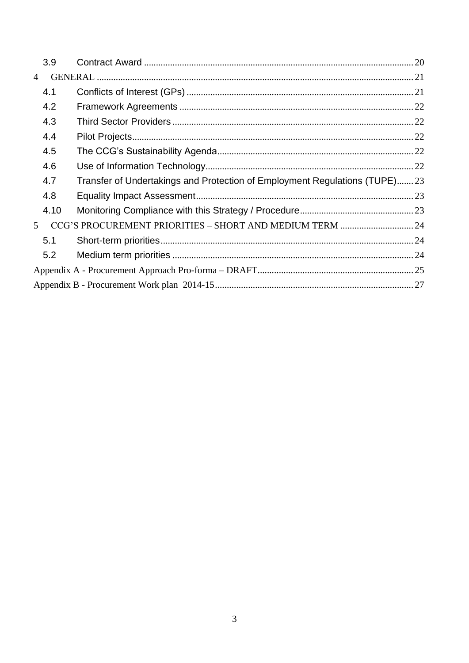|                | 3.9  |                                                                            |  |
|----------------|------|----------------------------------------------------------------------------|--|
| $\overline{4}$ |      |                                                                            |  |
|                | 4.1  |                                                                            |  |
|                | 4.2  |                                                                            |  |
|                | 4.3  |                                                                            |  |
|                | 4.4  |                                                                            |  |
|                | 4.5  |                                                                            |  |
|                | 4.6  |                                                                            |  |
|                | 4.7  | Transfer of Undertakings and Protection of Employment Regulations (TUPE)23 |  |
|                | 4.8  |                                                                            |  |
|                | 4.10 |                                                                            |  |
| 5 <sup>5</sup> |      |                                                                            |  |
|                | 5.1  |                                                                            |  |
|                | 5.2  |                                                                            |  |
|                |      |                                                                            |  |
|                |      |                                                                            |  |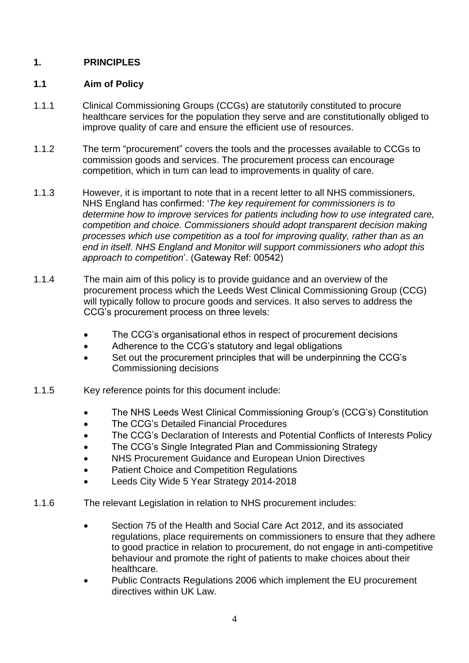# <span id="page-3-0"></span>**1. PRINCIPLES**

### <span id="page-3-1"></span>**1.1 Aim of Policy**

- 1.1.1 Clinical Commissioning Groups (CCGs) are statutorily constituted to procure healthcare services for the population they serve and are constitutionally obliged to improve quality of care and ensure the efficient use of resources.
- 1.1.2 The term "procurement" covers the tools and the processes available to CCGs to commission goods and services. The procurement process can encourage competition, which in turn can lead to improvements in quality of care.
- 1.1.3 However, it is important to note that in a recent letter to all NHS commissioners, NHS England has confirmed: '*The key requirement for commissioners is to determine how to improve services for patients including how to use integrated care, competition and choice. Commissioners should adopt transparent decision making processes which use competition as a tool for improving quality, rather than as an end in itself. NHS England and Monitor will support commissioners who adopt this approach to competition*'. (Gateway Ref: 00542)
- 1.1.4 The main aim of this policy is to provide guidance and an overview of the procurement process which the Leeds West Clinical Commissioning Group (CCG) will typically follow to procure goods and services. It also serves to address the CCG's procurement process on three levels:
	- The CCG's organisational ethos in respect of procurement decisions
	- Adherence to the CCG's statutory and legal obligations
	- Set out the procurement principles that will be underpinning the CCG's Commissioning decisions
- 1.1.5 Key reference points for this document include:
	- The NHS Leeds West Clinical Commissioning Group's (CCG's) Constitution
	- The CCG's Detailed Financial Procedures
	- The CCG's Declaration of Interests and Potential Conflicts of Interests Policy
	- The CCG's Single Integrated Plan and Commissioning Strategy
	- NHS Procurement Guidance and European Union Directives
	- Patient Choice and Competition Regulations
	- Leeds City Wide 5 Year Strategy 2014-2018
- 1.1.6 The relevant Legislation in relation to NHS procurement includes:
	- Section 75 of the Health and Social Care Act 2012, and its associated regulations, place requirements on commissioners to ensure that they adhere to good practice in relation to procurement, do not engage in anti-competitive behaviour and promote the right of patients to make choices about their healthcare.
	- Public Contracts Regulations 2006 which implement the EU procurement directives within UK Law.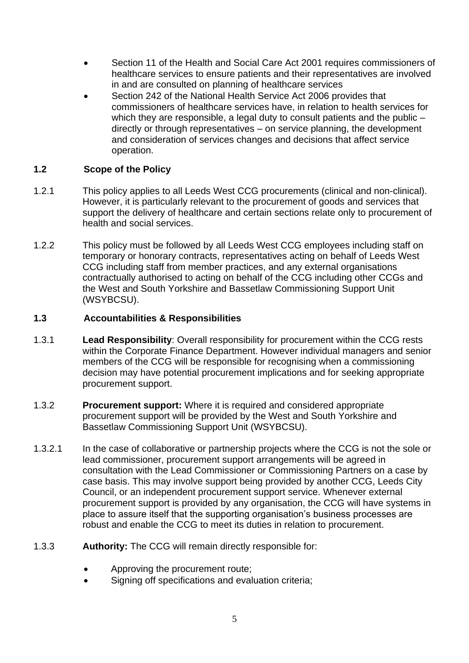- Section 11 of the Health and Social Care Act 2001 requires commissioners of healthcare services to ensure patients and their representatives are involved in and are consulted on planning of healthcare services
- Section 242 of the National Health Service Act 2006 provides that commissioners of healthcare services have, in relation to health services for which they are responsible, a legal duty to consult patients and the public – directly or through representatives – on service planning, the development and consideration of services changes and decisions that affect service operation.

# <span id="page-4-0"></span>**1.2 Scope of the Policy**

- 1.2.1 This policy applies to all Leeds West CCG procurements (clinical and non-clinical). However, it is particularly relevant to the procurement of goods and services that support the delivery of healthcare and certain sections relate only to procurement of health and social services.
- 1.2.2 This policy must be followed by all Leeds West CCG employees including staff on temporary or honorary contracts, representatives acting on behalf of Leeds West CCG including staff from member practices, and any external organisations contractually authorised to acting on behalf of the CCG including other CCGs and the West and South Yorkshire and Bassetlaw Commissioning Support Unit (WSYBCSU).

# <span id="page-4-1"></span>**1.3 Accountabilities & Responsibilities**

- 1.3.1 **Lead Responsibility**: Overall responsibility for procurement within the CCG rests within the Corporate Finance Department. However individual managers and senior members of the CCG will be responsible for recognising when a commissioning decision may have potential procurement implications and for seeking appropriate procurement support.
- 1.3.2 **Procurement support:** Where it is required and considered appropriate procurement support will be provided by the West and South Yorkshire and Bassetlaw Commissioning Support Unit (WSYBCSU).
- 1.3.2.1 In the case of collaborative or partnership projects where the CCG is not the sole or lead commissioner, procurement support arrangements will be agreed in consultation with the Lead Commissioner or Commissioning Partners on a case by case basis. This may involve support being provided by another CCG, Leeds City Council, or an independent procurement support service. Whenever external procurement support is provided by any organisation, the CCG will have systems in place to assure itself that the supporting organisation's business processes are robust and enable the CCG to meet its duties in relation to procurement.
- 1.3.3 **Authority:** The CCG will remain directly responsible for:
	- Approving the procurement route;
	- Signing off specifications and evaluation criteria;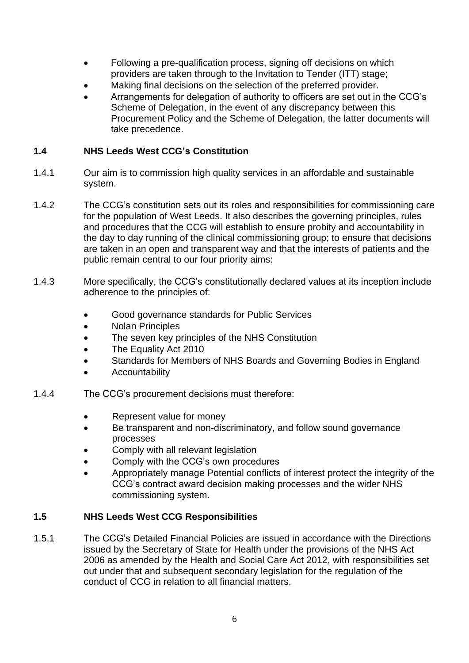- Following a pre-qualification process, signing off decisions on which providers are taken through to the Invitation to Tender (ITT) stage;
- Making final decisions on the selection of the preferred provider.
- Arrangements for delegation of authority to officers are set out in the CCG's Scheme of Delegation, in the event of any discrepancy between this Procurement Policy and the Scheme of Delegation, the latter documents will take precedence.

# <span id="page-5-0"></span>**1.4 NHS Leeds West CCG's Constitution**

- 1.4.1 Our aim is to commission high quality services in an affordable and sustainable system.
- 1.4.2 The CCG's constitution sets out its roles and responsibilities for commissioning care for the population of West Leeds. It also describes the governing principles, rules and procedures that the CCG will establish to ensure probity and accountability in the day to day running of the clinical commissioning group; to ensure that decisions are taken in an open and transparent way and that the interests of patients and the public remain central to our four priority aims:
- 1.4.3 More specifically, the CCG's constitutionally declared values at its inception include adherence to the principles of:
	- Good governance standards for Public Services
	- Nolan Principles
	- The seven key principles of the NHS Constitution
	- The Equality Act 2010
	- Standards for Members of NHS Boards and Governing Bodies in England
	- Accountability
- 1.4.4 The CCG's procurement decisions must therefore:
	- Represent value for money
	- Be transparent and non-discriminatory, and follow sound governance processes
	- Comply with all relevant legislation
	- Comply with the CCG's own procedures
	- Appropriately manage Potential conflicts of interest protect the integrity of the CCG's contract award decision making processes and the wider NHS commissioning system.

# <span id="page-5-1"></span>**1.5 NHS Leeds West CCG Responsibilities**

1.5.1 The CCG's Detailed Financial Policies are issued in accordance with the Directions issued by the Secretary of State for Health under the provisions of the NHS Act 2006 as amended by the Health and Social Care Act 2012, with responsibilities set out under that and subsequent secondary legislation for the regulation of the conduct of CCG in relation to all financial matters.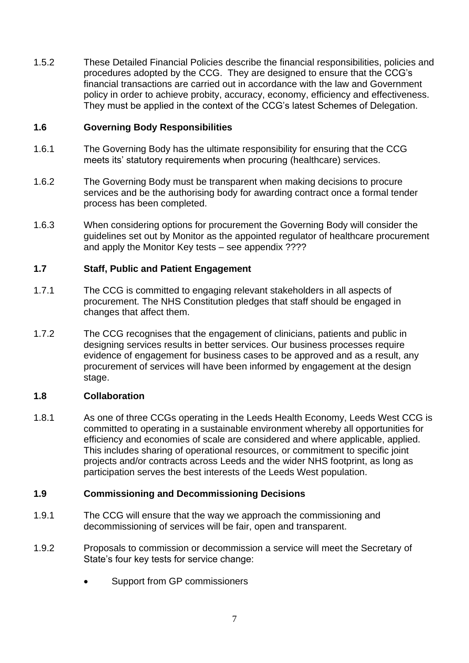1.5.2 These Detailed Financial Policies describe the financial responsibilities, policies and procedures adopted by the CCG. They are designed to ensure that the CCG's financial transactions are carried out in accordance with the law and Government policy in order to achieve probity, accuracy, economy, efficiency and effectiveness. They must be applied in the context of the CCG's latest Schemes of Delegation.

#### <span id="page-6-0"></span>**1.6 Governing Body Responsibilities**

- 1.6.1 The Governing Body has the ultimate responsibility for ensuring that the CCG meets its' statutory requirements when procuring (healthcare) services.
- 1.6.2 The Governing Body must be transparent when making decisions to procure services and be the authorising body for awarding contract once a formal tender process has been completed.
- 1.6.3 When considering options for procurement the Governing Body will consider the guidelines set out by Monitor as the appointed regulator of healthcare procurement and apply the Monitor Key tests – see appendix ????

#### <span id="page-6-1"></span>**1.7 Staff, Public and Patient Engagement**

- 1.7.1 The CCG is committed to engaging relevant stakeholders in all aspects of procurement. The NHS Constitution pledges that staff should be engaged in changes that affect them.
- 1.7.2 The CCG recognises that the engagement of clinicians, patients and public in designing services results in better services. Our business processes require evidence of engagement for business cases to be approved and as a result, any procurement of services will have been informed by engagement at the design stage.

#### <span id="page-6-2"></span>**1.8 Collaboration**

1.8.1 As one of three CCGs operating in the Leeds Health Economy, Leeds West CCG is committed to operating in a sustainable environment whereby all opportunities for efficiency and economies of scale are considered and where applicable, applied. This includes sharing of operational resources, or commitment to specific joint projects and/or contracts across Leeds and the wider NHS footprint, as long as participation serves the best interests of the Leeds West population.

# <span id="page-6-3"></span>**1.9 Commissioning and Decommissioning Decisions**

- 1.9.1 The CCG will ensure that the way we approach the commissioning and decommissioning of services will be fair, open and transparent.
- 1.9.2 Proposals to commission or decommission a service will meet the Secretary of State's four key tests for service change:
	- Support from GP commissioners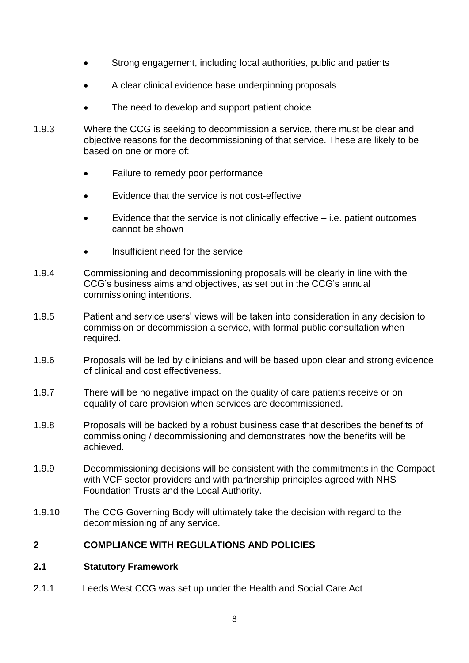- Strong engagement, including local authorities, public and patients
- A clear clinical evidence base underpinning proposals
- The need to develop and support patient choice
- 1.9.3 Where the CCG is seeking to decommission a service, there must be clear and objective reasons for the decommissioning of that service. These are likely to be based on one or more of:
	- Failure to remedy poor performance
	- Evidence that the service is not cost-effective
	- $\bullet$  Evidence that the service is not clinically effective  $-$  i.e. patient outcomes cannot be shown
	- Insufficient need for the service
- 1.9.4 Commissioning and decommissioning proposals will be clearly in line with the CCG's business aims and objectives, as set out in the CCG's annual commissioning intentions.
- 1.9.5 Patient and service users' views will be taken into consideration in any decision to commission or decommission a service, with formal public consultation when required.
- 1.9.6 Proposals will be led by clinicians and will be based upon clear and strong evidence of clinical and cost effectiveness.
- 1.9.7 There will be no negative impact on the quality of care patients receive or on equality of care provision when services are decommissioned.
- 1.9.8 Proposals will be backed by a robust business case that describes the benefits of commissioning / decommissioning and demonstrates how the benefits will be achieved.
- 1.9.9 Decommissioning decisions will be consistent with the commitments in the Compact with VCF sector providers and with partnership principles agreed with NHS Foundation Trusts and the Local Authority.
- 1.9.10 The CCG Governing Body will ultimately take the decision with regard to the decommissioning of any service.

# <span id="page-7-0"></span>**2 COMPLIANCE WITH REGULATIONS AND POLICIES**

#### <span id="page-7-1"></span>**2.1 Statutory Framework**

2.1.1 Leeds West CCG was set up under the Health and Social Care Act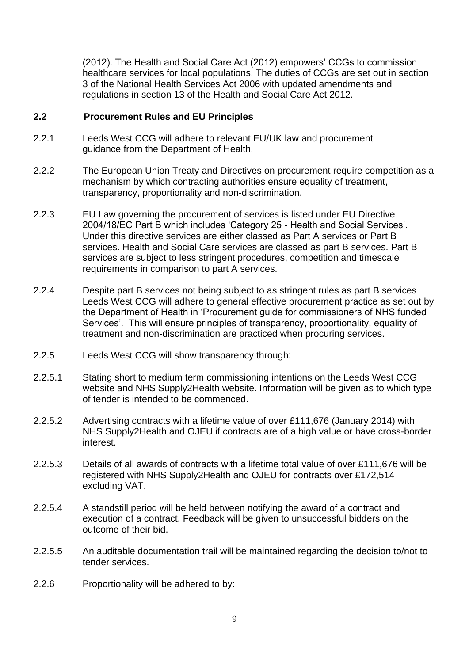(2012). The Health and Social Care Act (2012) empowers' CCGs to commission healthcare services for local populations. The duties of CCGs are set out in section 3 of the National Health Services Act 2006 with updated amendments and regulations in section 13 of the Health and Social Care Act 2012.

#### <span id="page-8-0"></span>**2.2 Procurement Rules and EU Principles**

- 2.2.1 Leeds West CCG will adhere to relevant EU/UK law and procurement guidance from the Department of Health.
- 2.2.2 The European Union Treaty and Directives on procurement require competition as a mechanism by which contracting authorities ensure equality of treatment, transparency, proportionality and non-discrimination.
- 2.2.3 EU Law governing the procurement of services is listed under EU Directive 2004/18/EC Part B which includes 'Category 25 - Health and Social Services'. Under this directive services are either classed as Part A services or Part B services. Health and Social Care services are classed as part B services. Part B services are subject to less stringent procedures, competition and timescale requirements in comparison to part A services.
- 2.2.4 Despite part B services not being subject to as stringent rules as part B services Leeds West CCG will adhere to general effective procurement practice as set out by the Department of Health in 'Procurement guide for commissioners of NHS funded Services'. This will ensure principles of transparency, proportionality, equality of treatment and non-discrimination are practiced when procuring services.
- 2.2.5 Leeds West CCG will show transparency through:
- 2.2.5.1 Stating short to medium term commissioning intentions on the Leeds West CCG website and NHS Supply2Health website. Information will be given as to which type of tender is intended to be commenced.
- 2.2.5.2 Advertising contracts with a lifetime value of over £111,676 (January 2014) with NHS Supply2Health and OJEU if contracts are of a high value or have cross-border interest.
- 2.2.5.3 Details of all awards of contracts with a lifetime total value of over £111,676 will be registered with NHS Supply2Health and OJEU for contracts over £172,514 excluding VAT.
- 2.2.5.4 A standstill period will be held between notifying the award of a contract and execution of a contract. Feedback will be given to unsuccessful bidders on the outcome of their bid.
- 2.2.5.5 An auditable documentation trail will be maintained regarding the decision to/not to tender services.
- 2.2.6 Proportionality will be adhered to by: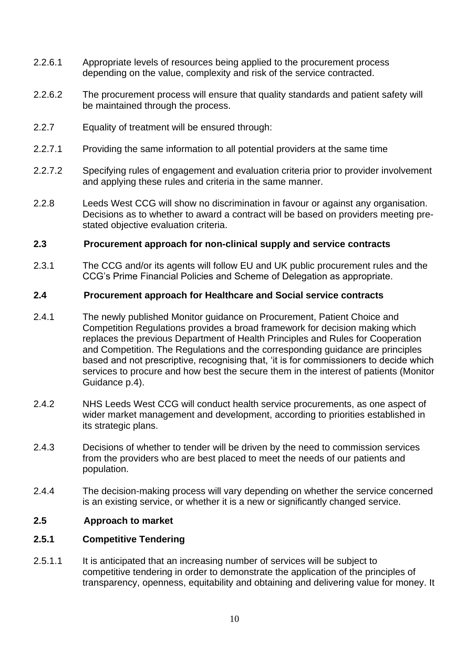- 2.2.6.1 Appropriate levels of resources being applied to the procurement process depending on the value, complexity and risk of the service contracted.
- 2.2.6.2 The procurement process will ensure that quality standards and patient safety will be maintained through the process.
- 2.2.7 Equality of treatment will be ensured through:
- 2.2.7.1 Providing the same information to all potential providers at the same time
- 2.2.7.2 Specifying rules of engagement and evaluation criteria prior to provider involvement and applying these rules and criteria in the same manner.
- 2.2.8 Leeds West CCG will show no discrimination in favour or against any organisation. Decisions as to whether to award a contract will be based on providers meeting prestated objective evaluation criteria.

#### <span id="page-9-0"></span>**2.3 Procurement approach for non-clinical supply and service contracts**

2.3.1 The CCG and/or its agents will follow EU and UK public procurement rules and the CCG's Prime Financial Policies and Scheme of Delegation as appropriate.

#### <span id="page-9-1"></span>**2.4 Procurement approach for Healthcare and Social service contracts**

- 2.4.1 The newly published Monitor guidance on Procurement, Patient Choice and Competition Regulations provides a broad framework for decision making which replaces the previous Department of Health Principles and Rules for Cooperation and Competition. The Regulations and the corresponding guidance are principles based and not prescriptive, recognising that, 'it is for commissioners to decide which services to procure and how best the secure them in the interest of patients (Monitor Guidance p.4).
- 2.4.2 NHS Leeds West CCG will conduct health service procurements, as one aspect of wider market management and development, according to priorities established in its strategic plans.
- 2.4.3 Decisions of whether to tender will be driven by the need to commission services from the providers who are best placed to meet the needs of our patients and population.
- 2.4.4 The decision-making process will vary depending on whether the service concerned is an existing service, or whether it is a new or significantly changed service.

#### <span id="page-9-2"></span>**2.5 Approach to market**

#### <span id="page-9-3"></span>**2.5.1 Competitive Tendering**

2.5.1.1 It is anticipated that an increasing number of services will be subject to competitive tendering in order to demonstrate the application of the principles of transparency, openness, equitability and obtaining and delivering value for money. It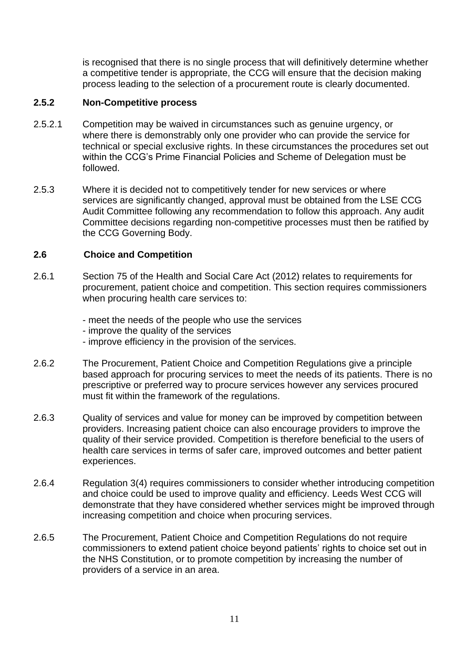is recognised that there is no single process that will definitively determine whether a competitive tender is appropriate, the CCG will ensure that the decision making process leading to the selection of a procurement route is clearly documented.

#### <span id="page-10-0"></span>**2.5.2 Non-Competitive process**

- 2.5.2.1 Competition may be waived in circumstances such as genuine urgency, or where there is demonstrably only one provider who can provide the service for technical or special exclusive rights. In these circumstances the procedures set out within the CCG's Prime Financial Policies and Scheme of Delegation must be followed.
- 2.5.3 Where it is decided not to competitively tender for new services or where services are significantly changed, approval must be obtained from the LSE CCG Audit Committee following any recommendation to follow this approach. Any audit Committee decisions regarding non-competitive processes must then be ratified by the CCG Governing Body.

#### <span id="page-10-1"></span>**2.6 Choice and Competition**

- 2.6.1 Section 75 of the Health and Social Care Act (2012) relates to requirements for procurement, patient choice and competition. This section requires commissioners when procuring health care services to:
	- meet the needs of the people who use the services
	- improve the quality of the services
	- improve efficiency in the provision of the services.
- 2.6.2 The Procurement, Patient Choice and Competition Regulations give a principle based approach for procuring services to meet the needs of its patients. There is no prescriptive or preferred way to procure services however any services procured must fit within the framework of the regulations.
- 2.6.3 Quality of services and value for money can be improved by competition between providers. Increasing patient choice can also encourage providers to improve the quality of their service provided. Competition is therefore beneficial to the users of health care services in terms of safer care, improved outcomes and better patient experiences.
- 2.6.4 Regulation 3(4) requires commissioners to consider whether introducing competition and choice could be used to improve quality and efficiency. Leeds West CCG will demonstrate that they have considered whether services might be improved through increasing competition and choice when procuring services.
- 2.6.5 The Procurement, Patient Choice and Competition Regulations do not require commissioners to extend patient choice beyond patients' rights to choice set out in the NHS Constitution, or to promote competition by increasing the number of providers of a service in an area.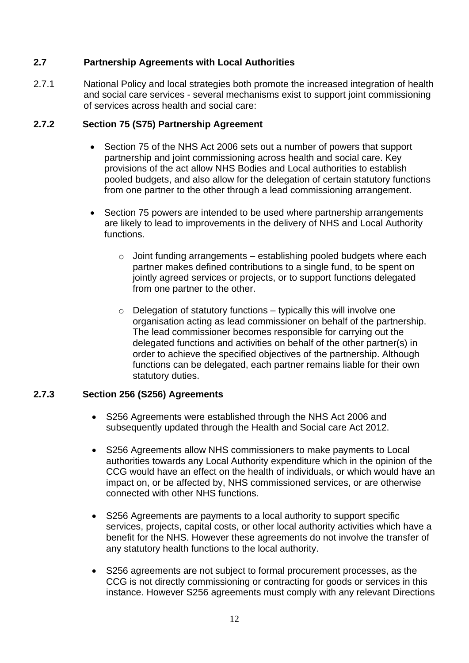# <span id="page-11-0"></span>**2.7 Partnership Agreements with Local Authorities**

2.7.1 National Policy and local strategies both promote the increased integration of health and social care services - several mechanisms exist to support joint commissioning of services across health and social care:

# <span id="page-11-1"></span>**2.7.2 Section 75 (S75) Partnership Agreement**

- Section 75 of the NHS Act 2006 sets out a number of powers that support partnership and joint commissioning across health and social care. Key provisions of the act allow NHS Bodies and Local authorities to establish pooled budgets, and also allow for the delegation of certain statutory functions from one partner to the other through a lead commissioning arrangement.
- Section 75 powers are intended to be used where partnership arrangements are likely to lead to improvements in the delivery of NHS and Local Authority functions.
	- $\circ$  Joint funding arrangements establishing pooled budgets where each partner makes defined contributions to a single fund, to be spent on jointly agreed services or projects, or to support functions delegated from one partner to the other.
	- $\circ$  Delegation of statutory functions typically this will involve one organisation acting as lead commissioner on behalf of the partnership. The lead commissioner becomes responsible for carrying out the delegated functions and activities on behalf of the other partner(s) in order to achieve the specified objectives of the partnership. Although functions can be delegated, each partner remains liable for their own statutory duties.

# <span id="page-11-2"></span>**2.7.3 Section 256 (S256) Agreements**

- S256 Agreements were established through the NHS Act 2006 and subsequently updated through the Health and Social care Act 2012.
- S256 Agreements allow NHS commissioners to make payments to Local authorities towards any Local Authority expenditure which in the opinion of the CCG would have an effect on the health of individuals, or which would have an impact on, or be affected by, NHS commissioned services, or are otherwise connected with other NHS functions.
- S256 Agreements are payments to a local authority to support specific services, projects, capital costs, or other local authority activities which have a benefit for the NHS. However these agreements do not involve the transfer of any statutory health functions to the local authority.
- S256 agreements are not subject to formal procurement processes, as the CCG is not directly commissioning or contracting for goods or services in this instance. However S256 agreements must comply with any relevant Directions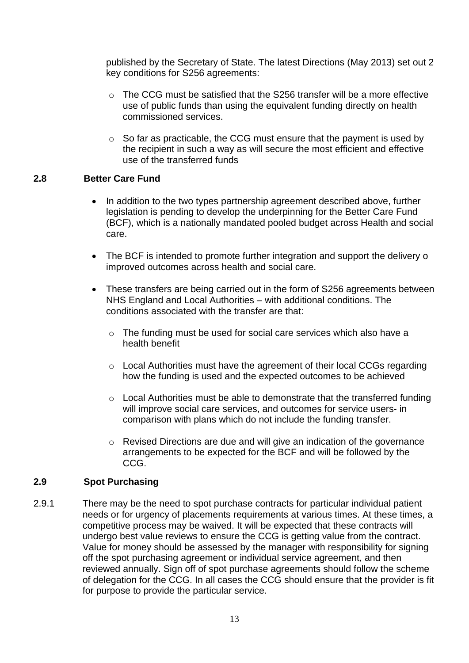published by the Secretary of State. The latest Directions (May 2013) set out 2 key conditions for S256 agreements:

- $\circ$  The CCG must be satisfied that the S256 transfer will be a more effective use of public funds than using the equivalent funding directly on health commissioned services.
- $\circ$  So far as practicable, the CCG must ensure that the payment is used by the recipient in such a way as will secure the most efficient and effective use of the transferred funds

# <span id="page-12-0"></span>**2.8 Better Care Fund**

- In addition to the two types partnership agreement described above, further legislation is pending to develop the underpinning for the Better Care Fund (BCF), which is a nationally mandated pooled budget across Health and social care.
- The BCF is intended to promote further integration and support the delivery o improved outcomes across health and social care.
- These transfers are being carried out in the form of S256 agreements between NHS England and Local Authorities – with additional conditions. The conditions associated with the transfer are that:
	- $\circ$  The funding must be used for social care services which also have a health benefit
	- o Local Authorities must have the agreement of their local CCGs regarding how the funding is used and the expected outcomes to be achieved
	- $\circ$  Local Authorities must be able to demonstrate that the transferred funding will improve social care services, and outcomes for service users- in comparison with plans which do not include the funding transfer.
	- o Revised Directions are due and will give an indication of the governance arrangements to be expected for the BCF and will be followed by the CCG.

#### <span id="page-12-1"></span>**2.9 Spot Purchasing**

2.9.1 There may be the need to spot purchase contracts for particular individual patient needs or for urgency of placements requirements at various times. At these times, a competitive process may be waived. It will be expected that these contracts will undergo best value reviews to ensure the CCG is getting value from the contract. Value for money should be assessed by the manager with responsibility for signing off the spot purchasing agreement or individual service agreement, and then reviewed annually. Sign off of spot purchase agreements should follow the scheme of delegation for the CCG. In all cases the CCG should ensure that the provider is fit for purpose to provide the particular service.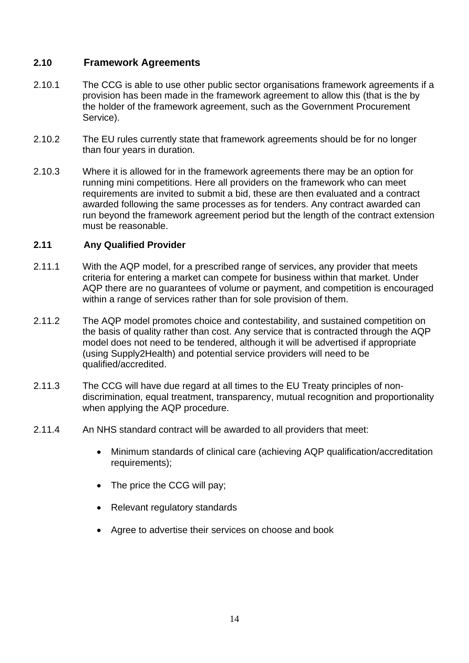# <span id="page-13-0"></span>**2.10 Framework Agreements**

- 2.10.1 The CCG is able to use other public sector organisations framework agreements if a provision has been made in the framework agreement to allow this (that is the by the holder of the framework agreement, such as the Government Procurement Service).
- 2.10.2 The EU rules currently state that framework agreements should be for no longer than four years in duration.
- 2.10.3 Where it is allowed for in the framework agreements there may be an option for running mini competitions. Here all providers on the framework who can meet requirements are invited to submit a bid, these are then evaluated and a contract awarded following the same processes as for tenders. Any contract awarded can run beyond the framework agreement period but the length of the contract extension must be reasonable.

#### <span id="page-13-1"></span>**2.11 Any Qualified Provider**

- 2.11.1 With the AQP model, for a prescribed range of services, any provider that meets criteria for entering a market can compete for business within that market. Under AQP there are no guarantees of volume or payment, and competition is encouraged within a range of services rather than for sole provision of them.
- 2.11.2 The AQP model promotes choice and contestability, and sustained competition on the basis of quality rather than cost. Any service that is contracted through the AQP model does not need to be tendered, although it will be advertised if appropriate (using Supply2Health) and potential service providers will need to be qualified/accredited.
- 2.11.3 The CCG will have due regard at all times to the EU Treaty principles of nondiscrimination, equal treatment, transparency, mutual recognition and proportionality when applying the AQP procedure.
- 2.11.4 An NHS standard contract will be awarded to all providers that meet:
	- Minimum standards of clinical care (achieving AQP qualification/accreditation requirements):
	- The price the CCG will pay;
	- Relevant regulatory standards
	- Agree to advertise their services on choose and book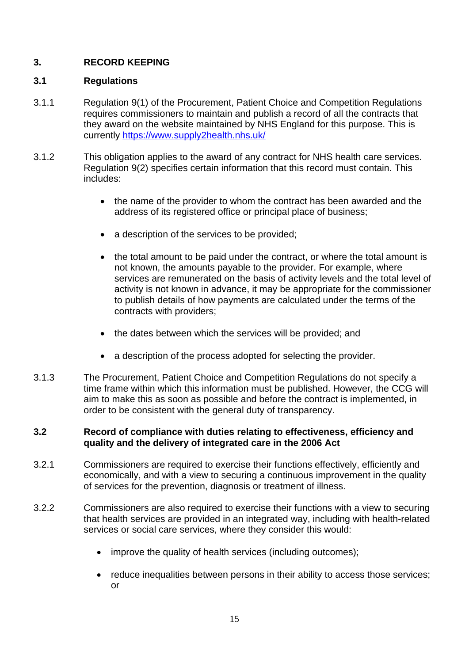# <span id="page-14-0"></span>**3. RECORD KEEPING**

#### <span id="page-14-1"></span>**3.1 Regulations**

- 3.1.1 Regulation 9(1) of the Procurement, Patient Choice and Competition Regulations requires commissioners to maintain and publish a record of all the contracts that they award on the website maintained by NHS England for this purpose. This is currently<https://www.supply2health.nhs.uk/>
- 3.1.2 This obligation applies to the award of any contract for NHS health care services. Regulation 9(2) specifies certain information that this record must contain. This includes:
	- the name of the provider to whom the contract has been awarded and the address of its registered office or principal place of business;
	- a description of the services to be provided;
	- the total amount to be paid under the contract, or where the total amount is not known, the amounts payable to the provider. For example, where services are remunerated on the basis of activity levels and the total level of activity is not known in advance, it may be appropriate for the commissioner to publish details of how payments are calculated under the terms of the contracts with providers;
	- the dates between which the services will be provided: and
	- a description of the process adopted for selecting the provider.
- 3.1.3 The Procurement, Patient Choice and Competition Regulations do not specify a time frame within which this information must be published. However, the CCG will aim to make this as soon as possible and before the contract is implemented, in order to be consistent with the general duty of transparency.

#### **3.2 Record of compliance with duties relating to effectiveness, efficiency and quality and the delivery of integrated care in the 2006 Act**

- 3.2.1 Commissioners are required to exercise their functions effectively, efficiently and economically, and with a view to securing a continuous improvement in the quality of services for the prevention, diagnosis or treatment of illness.
- 3.2.2 Commissioners are also required to exercise their functions with a view to securing that health services are provided in an integrated way, including with health-related services or social care services, where they consider this would:
	- improve the quality of health services (including outcomes);
	- reduce inequalities between persons in their ability to access those services; or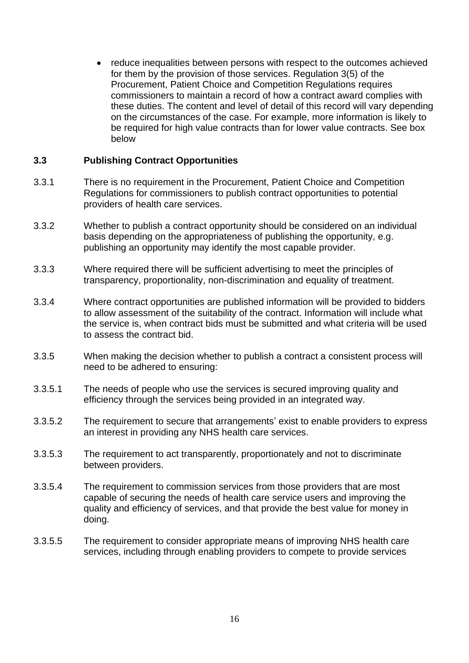• reduce inequalities between persons with respect to the outcomes achieved for them by the provision of those services. Regulation 3(5) of the Procurement, Patient Choice and Competition Regulations requires commissioners to maintain a record of how a contract award complies with these duties. The content and level of detail of this record will vary depending on the circumstances of the case. For example, more information is likely to be required for high value contracts than for lower value contracts. See box below

#### <span id="page-15-0"></span>**3.3 Publishing Contract Opportunities**

- 3.3.1 There is no requirement in the Procurement, Patient Choice and Competition Regulations for commissioners to publish contract opportunities to potential providers of health care services.
- 3.3.2 Whether to publish a contract opportunity should be considered on an individual basis depending on the appropriateness of publishing the opportunity, e.g. publishing an opportunity may identify the most capable provider.
- 3.3.3 Where required there will be sufficient advertising to meet the principles of transparency, proportionality, non-discrimination and equality of treatment.
- 3.3.4 Where contract opportunities are published information will be provided to bidders to allow assessment of the suitability of the contract. Information will include what the service is, when contract bids must be submitted and what criteria will be used to assess the contract bid.
- 3.3.5 When making the decision whether to publish a contract a consistent process will need to be adhered to ensuring:
- 3.3.5.1 The needs of people who use the services is secured improving quality and efficiency through the services being provided in an integrated way.
- 3.3.5.2 The requirement to secure that arrangements' exist to enable providers to express an interest in providing any NHS health care services.
- 3.3.5.3 The requirement to act transparently, proportionately and not to discriminate between providers.
- 3.3.5.4 The requirement to commission services from those providers that are most capable of securing the needs of health care service users and improving the quality and efficiency of services, and that provide the best value for money in doing.
- 3.3.5.5 The requirement to consider appropriate means of improving NHS health care services, including through enabling providers to compete to provide services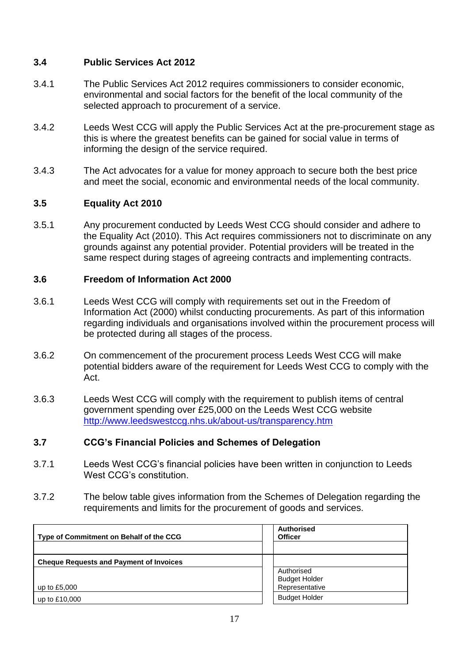# <span id="page-16-0"></span>**3.4 Public Services Act 2012**

- 3.4.1 The Public Services Act 2012 requires commissioners to consider economic, environmental and social factors for the benefit of the local community of the selected approach to procurement of a service.
- 3.4.2 Leeds West CCG will apply the Public Services Act at the pre-procurement stage as this is where the greatest benefits can be gained for social value in terms of informing the design of the service required.
- 3.4.3 The Act advocates for a value for money approach to secure both the best price and meet the social, economic and environmental needs of the local community.

#### <span id="page-16-1"></span>**3.5 Equality Act 2010**

3.5.1 Any procurement conducted by Leeds West CCG should consider and adhere to the Equality Act (2010). This Act requires commissioners not to discriminate on any grounds against any potential provider. Potential providers will be treated in the same respect during stages of agreeing contracts and implementing contracts.

#### <span id="page-16-2"></span>**3.6 Freedom of Information Act 2000**

- 3.6.1 Leeds West CCG will comply with requirements set out in the Freedom of Information Act (2000) whilst conducting procurements. As part of this information regarding individuals and organisations involved within the procurement process will be protected during all stages of the process.
- 3.6.2 On commencement of the procurement process Leeds West CCG will make potential bidders aware of the requirement for Leeds West CCG to comply with the Act.
- 3.6.3 Leeds West CCG will comply with the requirement to publish items of central government spending over £25,000 on the Leeds West CCG website <http://www.leedswestccg.nhs.uk/about-us/transparency.htm>

#### <span id="page-16-3"></span>**3.7 CCG's Financial Policies and Schemes of Delegation**

- 3.7.1 Leeds West CCG's financial policies have been written in conjunction to Leeds West CCG's constitution.
- 3.7.2 The below table gives information from the Schemes of Delegation regarding the requirements and limits for the procurement of goods and services.

| Type of Commitment on Behalf of the CCG        | <b>Authorised</b><br><b>Officer</b>    |
|------------------------------------------------|----------------------------------------|
|                                                |                                        |
| <b>Cheque Requests and Payment of Invoices</b> |                                        |
|                                                | Authorised                             |
| up to £5,000                                   | <b>Budget Holder</b><br>Representative |
| up to £10,000                                  | <b>Budget Holder</b>                   |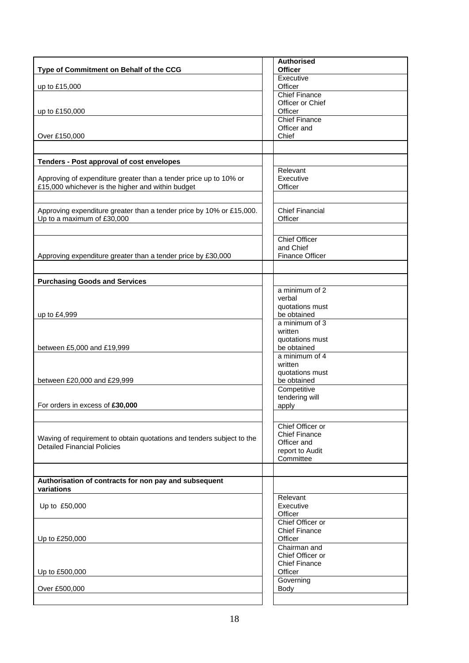| Type of Commitment on Behalf of the CCG                                                                     | <b>Authorised</b><br><b>Officer</b>      |
|-------------------------------------------------------------------------------------------------------------|------------------------------------------|
|                                                                                                             | Executive                                |
| up to £15,000                                                                                               | Officer                                  |
|                                                                                                             | <b>Chief Finance</b>                     |
| up to £150,000                                                                                              | Officer or Chief<br>Officer              |
|                                                                                                             | <b>Chief Finance</b>                     |
|                                                                                                             | Officer and                              |
| Over £150,000                                                                                               | Chief                                    |
|                                                                                                             |                                          |
| Tenders - Post approval of cost envelopes                                                                   |                                          |
|                                                                                                             | Relevant                                 |
| Approving of expenditure greater than a tender price up to 10% or                                           | Executive                                |
| £15,000 whichever is the higher and within budget                                                           | Officer                                  |
|                                                                                                             |                                          |
| Approving expenditure greater than a tender price by 10% or £15,000.                                        | <b>Chief Financial</b>                   |
| Up to a maximum of £30,000                                                                                  | Officer                                  |
|                                                                                                             |                                          |
|                                                                                                             | <b>Chief Officer</b>                     |
|                                                                                                             | and Chief                                |
| Approving expenditure greater than a tender price by £30,000                                                | <b>Finance Officer</b>                   |
|                                                                                                             |                                          |
| <b>Purchasing Goods and Services</b>                                                                        |                                          |
|                                                                                                             | a minimum of 2                           |
|                                                                                                             | verbal                                   |
|                                                                                                             | quotations must                          |
| up to £4,999                                                                                                | be obtained                              |
|                                                                                                             | a minimum of 3<br>written                |
|                                                                                                             | quotations must                          |
| between £5,000 and £19,999                                                                                  | be obtained                              |
|                                                                                                             | a minimum of 4                           |
|                                                                                                             | written                                  |
|                                                                                                             | quotations must                          |
| between £20,000 and £29,999                                                                                 | be obtained<br>Competitive               |
|                                                                                                             | tendering will                           |
| For orders in excess of £30,000                                                                             | apply                                    |
|                                                                                                             |                                          |
|                                                                                                             | Chief Officer or                         |
|                                                                                                             | <b>Chief Finance</b>                     |
| Waving of requirement to obtain quotations and tenders subject to the<br><b>Detailed Financial Policies</b> | Officer and                              |
|                                                                                                             | report to Audit                          |
|                                                                                                             | Committee                                |
|                                                                                                             |                                          |
| Authorisation of contracts for non pay and subsequent<br>variations                                         |                                          |
|                                                                                                             | Relevant                                 |
| Up to £50,000                                                                                               | Executive                                |
|                                                                                                             | Officer                                  |
|                                                                                                             | Chief Officer or<br><b>Chief Finance</b> |
| Up to £250,000                                                                                              | Officer                                  |
|                                                                                                             | Chairman and                             |
|                                                                                                             | Chief Officer or                         |
|                                                                                                             | <b>Chief Finance</b>                     |
| Up to £500,000                                                                                              | Officer                                  |
|                                                                                                             | Governing                                |
| Over £500,000                                                                                               | Body                                     |
|                                                                                                             |                                          |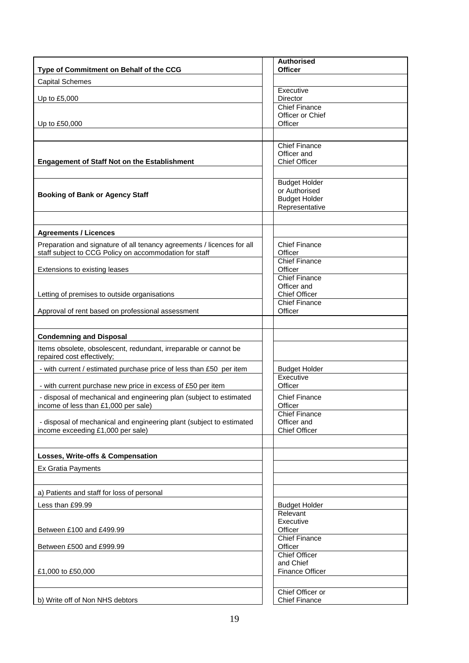|                                                                                                             | <b>Authorised</b>                     |
|-------------------------------------------------------------------------------------------------------------|---------------------------------------|
| Type of Commitment on Behalf of the CCG                                                                     | <b>Officer</b>                        |
| <b>Capital Schemes</b>                                                                                      | Executive                             |
| Up to £5,000                                                                                                | Director                              |
|                                                                                                             | <b>Chief Finance</b>                  |
|                                                                                                             | Officer or Chief<br>Officer           |
| Up to £50,000                                                                                               |                                       |
|                                                                                                             | <b>Chief Finance</b>                  |
|                                                                                                             | Officer and                           |
| <b>Engagement of Staff Not on the Establishment</b>                                                         | <b>Chief Officer</b>                  |
|                                                                                                             |                                       |
|                                                                                                             | <b>Budget Holder</b>                  |
| <b>Booking of Bank or Agency Staff</b>                                                                      | or Authorised<br><b>Budget Holder</b> |
|                                                                                                             | Representative                        |
|                                                                                                             |                                       |
| <b>Agreements / Licences</b>                                                                                |                                       |
| Preparation and signature of all tenancy agreements / licences for all                                      | <b>Chief Finance</b>                  |
| staff subject to CCG Policy on accommodation for staff                                                      | Officer                               |
|                                                                                                             | <b>Chief Finance</b>                  |
| Extensions to existing leases                                                                               | Officer<br><b>Chief Finance</b>       |
|                                                                                                             | Officer and                           |
| Letting of premises to outside organisations                                                                | <b>Chief Officer</b>                  |
|                                                                                                             | <b>Chief Finance</b>                  |
| Approval of rent based on professional assessment                                                           | Officer                               |
|                                                                                                             |                                       |
| <b>Condemning and Disposal</b>                                                                              |                                       |
| Items obsolete, obsolescent, redundant, irreparable or cannot be<br>repaired cost effectively;              |                                       |
| - with current / estimated purchase price of less than £50 per item                                         | <b>Budget Holder</b>                  |
|                                                                                                             | Executive<br>Officer                  |
| - with current purchase new price in excess of £50 per item                                                 | <b>Chief Finance</b>                  |
| - disposal of mechanical and engineering plan (subject to estimated<br>income of less than £1,000 per sale) | Officer                               |
|                                                                                                             | <b>Chief Finance</b>                  |
| - disposal of mechanical and engineering plant (subject to estimated                                        | Officer and<br><b>Chief Officer</b>   |
| income exceeding £1,000 per sale)                                                                           |                                       |
|                                                                                                             |                                       |
| Losses, Write-offs & Compensation                                                                           |                                       |
| <b>Ex Gratia Payments</b>                                                                                   |                                       |
|                                                                                                             |                                       |
| a) Patients and staff for loss of personal                                                                  |                                       |
| Less than £99.99                                                                                            | <b>Budget Holder</b>                  |
|                                                                                                             | Relevant                              |
| Between £100 and £499.99                                                                                    | Executive<br>Officer                  |
|                                                                                                             | <b>Chief Finance</b>                  |
| Between £500 and £999.99                                                                                    | Officer                               |
|                                                                                                             | <b>Chief Officer</b>                  |
| £1,000 to £50,000                                                                                           | and Chief<br><b>Finance Officer</b>   |
|                                                                                                             |                                       |
|                                                                                                             | Chief Officer or                      |
| b) Write off of Non NHS debtors                                                                             | <b>Chief Finance</b>                  |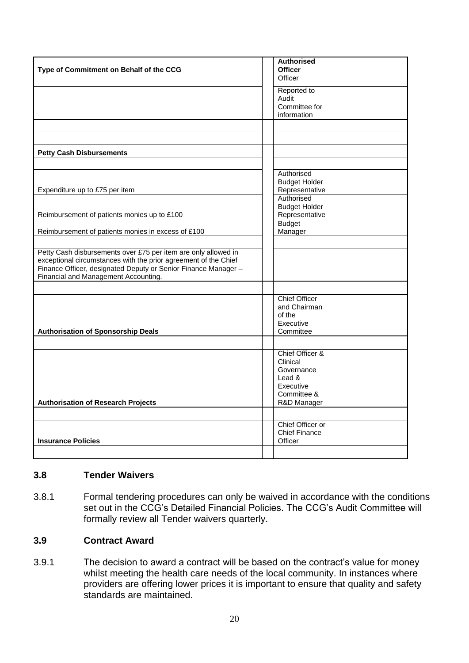|                                                                 | <b>Authorised</b>    |
|-----------------------------------------------------------------|----------------------|
| Type of Commitment on Behalf of the CCG                         | <b>Officer</b>       |
|                                                                 | Officer              |
|                                                                 | Reported to          |
|                                                                 | Audit                |
|                                                                 | Committee for        |
|                                                                 | information          |
|                                                                 |                      |
|                                                                 |                      |
|                                                                 |                      |
| <b>Petty Cash Disbursements</b>                                 |                      |
|                                                                 |                      |
|                                                                 | Authorised           |
|                                                                 | <b>Budget Holder</b> |
| Expenditure up to £75 per item                                  | Representative       |
|                                                                 | Authorised           |
|                                                                 | <b>Budget Holder</b> |
| Reimbursement of patients monies up to £100                     | Representative       |
|                                                                 | <b>Budget</b>        |
| Reimbursement of patients monies in excess of £100              | Manager              |
|                                                                 |                      |
|                                                                 |                      |
| Petty Cash disbursements over £75 per item are only allowed in  |                      |
| exceptional circumstances with the prior agreement of the Chief |                      |
| Finance Officer, designated Deputy or Senior Finance Manager -  |                      |
| Financial and Management Accounting.                            |                      |
|                                                                 |                      |
|                                                                 | <b>Chief Officer</b> |
|                                                                 | and Chairman         |
|                                                                 | of the               |
|                                                                 | Executive            |
| <b>Authorisation of Sponsorship Deals</b>                       | Committee            |
|                                                                 |                      |
|                                                                 | Chief Officer &      |
|                                                                 | Clinical             |
|                                                                 | Governance           |
|                                                                 | Lead &               |
|                                                                 | Executive            |
|                                                                 | Committee &          |
| <b>Authorisation of Research Projects</b>                       | R&D Manager          |
|                                                                 |                      |
|                                                                 |                      |
|                                                                 | Chief Officer or     |
|                                                                 | <b>Chief Finance</b> |
| <b>Insurance Policies</b>                                       | Officer              |
|                                                                 |                      |

#### <span id="page-19-0"></span>**3.8 Tender Waivers**

3.8.1 Formal tendering procedures can only be waived in accordance with the conditions set out in the CCG's Detailed Financial Policies. The CCG's Audit Committee will formally review all Tender waivers quarterly.

# <span id="page-19-1"></span>**3.9 Contract Award**

3.9.1 The decision to award a contract will be based on the contract's value for money whilst meeting the health care needs of the local community. In instances where providers are offering lower prices it is important to ensure that quality and safety standards are maintained.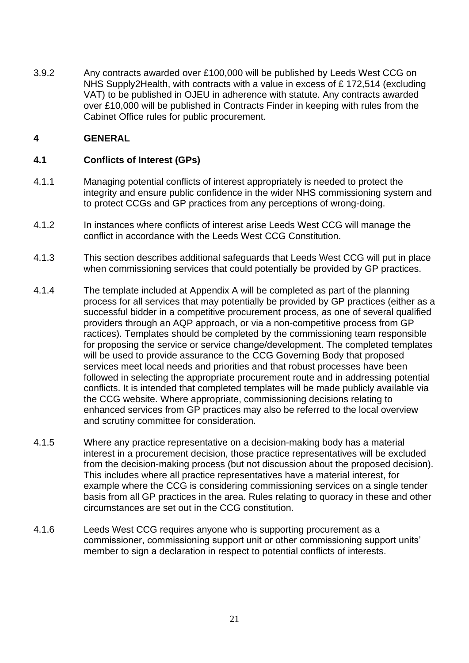3.9.2 Any contracts awarded over £100,000 will be published by Leeds West CCG on NHS Supply2Health, with contracts with a value in excess of £ 172,514 (excluding VAT) to be published in OJEU in adherence with statute. Any contracts awarded over £10,000 will be published in Contracts Finder in keeping with rules from the Cabinet Office rules for public procurement.

#### <span id="page-20-0"></span>**4 GENERAL**

#### <span id="page-20-1"></span>**4.1 Conflicts of Interest (GPs)**

- 4.1.1 Managing potential conflicts of interest appropriately is needed to protect the integrity and ensure public confidence in the wider NHS commissioning system and to protect CCGs and GP practices from any perceptions of wrong-doing.
- 4.1.2 In instances where conflicts of interest arise Leeds West CCG will manage the conflict in accordance with the Leeds West CCG Constitution.
- 4.1.3 This section describes additional safeguards that Leeds West CCG will put in place when commissioning services that could potentially be provided by GP practices.
- 4.1.4 The template included at Appendix A will be completed as part of the planning process for all services that may potentially be provided by GP practices (either as a successful bidder in a competitive procurement process, as one of several qualified providers through an AQP approach, or via a non-competitive process from GP ractices). Templates should be completed by the commissioning team responsible for proposing the service or service change/development. The completed templates will be used to provide assurance to the CCG Governing Body that proposed services meet local needs and priorities and that robust processes have been followed in selecting the appropriate procurement route and in addressing potential conflicts. It is intended that completed templates will be made publicly available via the CCG website. Where appropriate, commissioning decisions relating to enhanced services from GP practices may also be referred to the local overview and scrutiny committee for consideration.
- 4.1.5 Where any practice representative on a decision-making body has a material interest in a procurement decision, those practice representatives will be excluded from the decision-making process (but not discussion about the proposed decision). This includes where all practice representatives have a material interest, for example where the CCG is considering commissioning services on a single tender basis from all GP practices in the area. Rules relating to quoracy in these and other circumstances are set out in the CCG constitution.
- 4.1.6 Leeds West CCG requires anyone who is supporting procurement as a commissioner, commissioning support unit or other commissioning support units' member to sign a declaration in respect to potential conflicts of interests.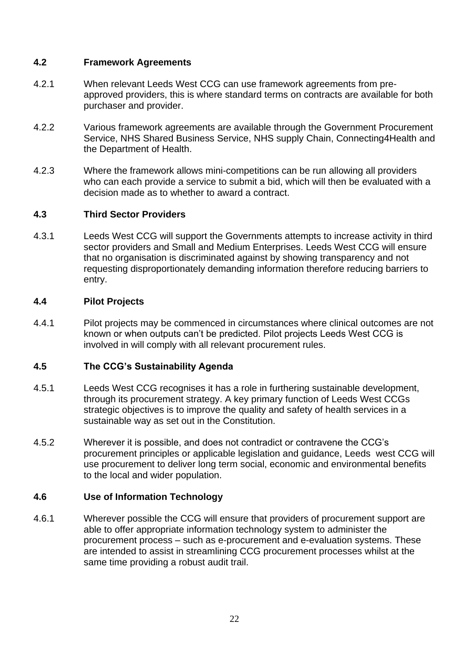### <span id="page-21-0"></span>**4.2 Framework Agreements**

- 4.2.1 When relevant Leeds West CCG can use framework agreements from preapproved providers, this is where standard terms on contracts are available for both purchaser and provider.
- 4.2.2 Various framework agreements are available through the Government Procurement Service, NHS Shared Business Service, NHS supply Chain, Connecting4Health and the Department of Health.
- 4.2.3 Where the framework allows mini-competitions can be run allowing all providers who can each provide a service to submit a bid, which will then be evaluated with a decision made as to whether to award a contract.

#### <span id="page-21-1"></span>**4.3 Third Sector Providers**

4.3.1 Leeds West CCG will support the Governments attempts to increase activity in third sector providers and Small and Medium Enterprises. Leeds West CCG will ensure that no organisation is discriminated against by showing transparency and not requesting disproportionately demanding information therefore reducing barriers to entry.

#### <span id="page-21-2"></span>**4.4 Pilot Projects**

4.4.1 Pilot projects may be commenced in circumstances where clinical outcomes are not known or when outputs can't be predicted. Pilot projects Leeds West CCG is involved in will comply with all relevant procurement rules.

#### <span id="page-21-3"></span>**4.5 The CCG's Sustainability Agenda**

- 4.5.1 Leeds West CCG recognises it has a role in furthering sustainable development, through its procurement strategy. A key primary function of Leeds West CCGs strategic objectives is to improve the quality and safety of health services in a sustainable way as set out in the Constitution.
- 4.5.2 Wherever it is possible, and does not contradict or contravene the CCG's procurement principles or applicable legislation and guidance, Leeds west CCG will use procurement to deliver long term social, economic and environmental benefits to the local and wider population.

# <span id="page-21-4"></span>**4.6 Use of Information Technology**

4.6.1 Wherever possible the CCG will ensure that providers of procurement support are able to offer appropriate information technology system to administer the procurement process – such as e-procurement and e-evaluation systems. These are intended to assist in streamlining CCG procurement processes whilst at the same time providing a robust audit trail.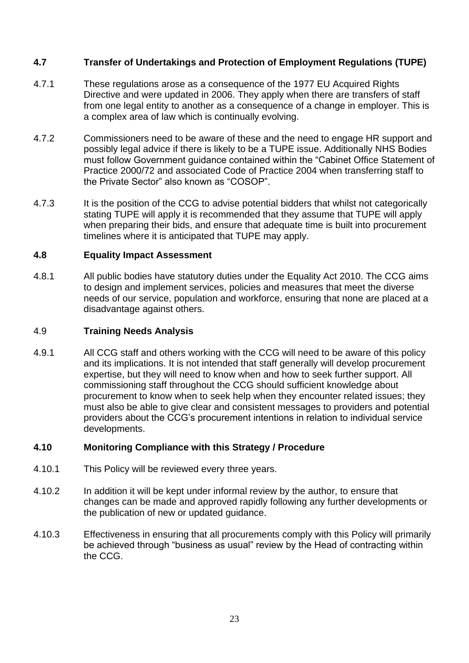# <span id="page-22-0"></span>**4.7 Transfer of Undertakings and Protection of Employment Regulations (TUPE)**

- 4.7.1 These regulations arose as a consequence of the 1977 EU Acquired Rights Directive and were updated in 2006. They apply when there are transfers of staff from one legal entity to another as a consequence of a change in employer. This is a complex area of law which is continually evolving.
- 4.7.2 Commissioners need to be aware of these and the need to engage HR support and possibly legal advice if there is likely to be a TUPE issue. Additionally NHS Bodies must follow Government guidance contained within the "Cabinet Office Statement of Practice 2000/72 and associated Code of Practice 2004 when transferring staff to the Private Sector" also known as "COSOP".
- 4.7.3 It is the position of the CCG to advise potential bidders that whilst not categorically stating TUPE will apply it is recommended that they assume that TUPE will apply when preparing their bids, and ensure that adequate time is built into procurement timelines where it is anticipated that TUPE may apply.

#### <span id="page-22-1"></span>**4.8 Equality Impact Assessment**

4.8.1 All public bodies have statutory duties under the Equality Act 2010. The CCG aims to design and implement services, policies and measures that meet the diverse needs of our service, population and workforce, ensuring that none are placed at a disadvantage against others.

### 4.9 **Training Needs Analysis**

4.9.1 All CCG staff and others working with the CCG will need to be aware of this policy and its implications. It is not intended that staff generally will develop procurement expertise, but they will need to know when and how to seek further support. All commissioning staff throughout the CCG should sufficient knowledge about procurement to know when to seek help when they encounter related issues; they must also be able to give clear and consistent messages to providers and potential providers about the CCG's procurement intentions in relation to individual service developments.

# <span id="page-22-2"></span>**4.10 Monitoring Compliance with this Strategy / Procedure**

- 4.10.1 This Policy will be reviewed every three years.
- 4.10.2 In addition it will be kept under informal review by the author, to ensure that changes can be made and approved rapidly following any further developments or the publication of new or updated guidance.
- 4.10.3 Effectiveness in ensuring that all procurements comply with this Policy will primarily be achieved through "business as usual" review by the Head of contracting within the CCG.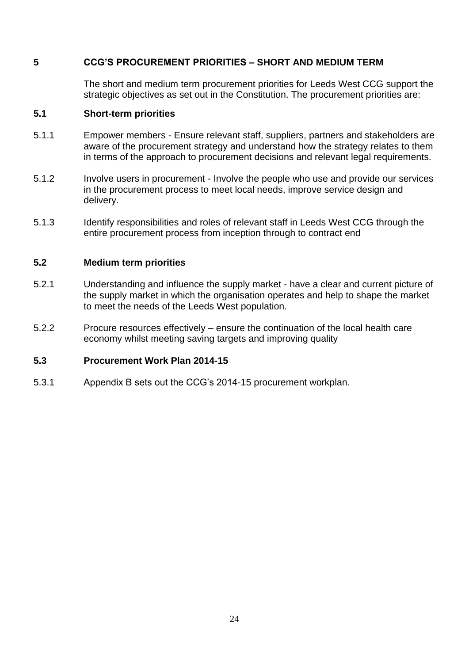#### <span id="page-23-0"></span>**5 CCG'S PROCUREMENT PRIORITIES – SHORT AND MEDIUM TERM**

The short and medium term procurement priorities for Leeds West CCG support the strategic objectives as set out in the Constitution. The procurement priorities are:

#### <span id="page-23-1"></span>**5.1 Short-term priorities**

- 5.1.1 Empower members Ensure relevant staff, suppliers, partners and stakeholders are aware of the procurement strategy and understand how the strategy relates to them in terms of the approach to procurement decisions and relevant legal requirements.
- 5.1.2 Involve users in procurement Involve the people who use and provide our services in the procurement process to meet local needs, improve service design and delivery.
- 5.1.3 Identify responsibilities and roles of relevant staff in Leeds West CCG through the entire procurement process from inception through to contract end

#### <span id="page-23-2"></span>**5.2 Medium term priorities**

- 5.2.1 Understanding and influence the supply market have a clear and current picture of the supply market in which the organisation operates and help to shape the market to meet the needs of the Leeds West population.
- 5.2.2 Procure resources effectively ensure the continuation of the local health care economy whilst meeting saving targets and improving quality

#### **5.3 Procurement Work Plan 2014-15**

5.3.1 Appendix B sets out the CCG's 2014-15 procurement workplan.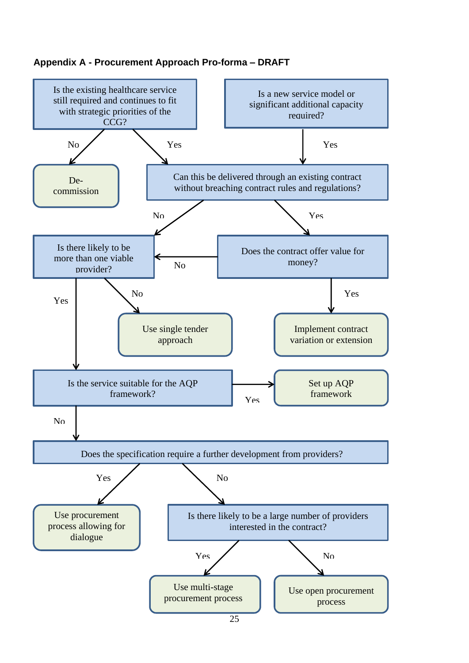# <span id="page-24-0"></span>**Appendix A - Procurement Approach Pro-forma – DRAFT**

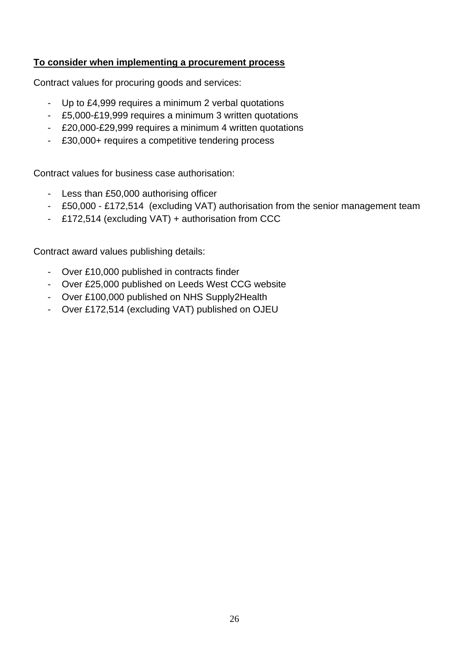#### **To consider when implementing a procurement process**

Contract values for procuring goods and services:

- Up to £4,999 requires a minimum 2 verbal quotations
- £5,000-£19,999 requires a minimum 3 written quotations
- £20,000-£29,999 requires a minimum 4 written quotations
- £30,000+ requires a competitive tendering process

Contract values for business case authorisation:

- Less than £50,000 authorising officer
- £50,000 £172,514 (excluding VAT) authorisation from the senior management team
- £172,514 (excluding VAT) + authorisation from CCC

Contract award values publishing details:

- Over £10,000 published in contracts finder
- Over £25,000 published on Leeds West CCG website
- Over £100,000 published on NHS Supply2Health
- Over £172,514 (excluding VAT) published on OJEU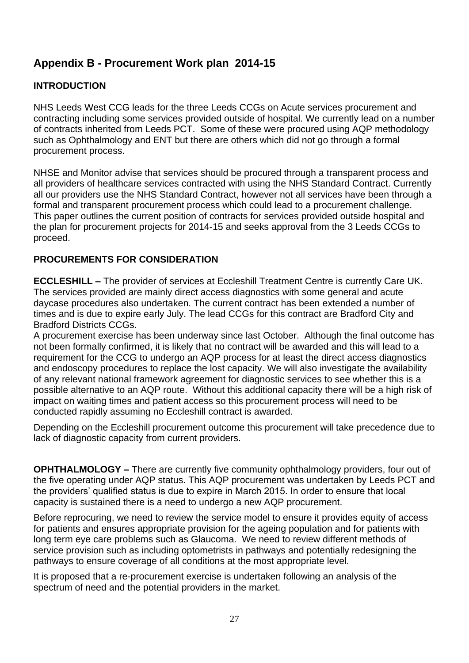# <span id="page-26-0"></span>**Appendix B - Procurement Work plan 2014-15**

# **INTRODUCTION**

NHS Leeds West CCG leads for the three Leeds CCGs on Acute services procurement and contracting including some services provided outside of hospital. We currently lead on a number of contracts inherited from Leeds PCT. Some of these were procured using AQP methodology such as Ophthalmology and ENT but there are others which did not go through a formal procurement process.

NHSE and Monitor advise that services should be procured through a transparent process and all providers of healthcare services contracted with using the NHS Standard Contract. Currently all our providers use the NHS Standard Contract, however not all services have been through a formal and transparent procurement process which could lead to a procurement challenge. This paper outlines the current position of contracts for services provided outside hospital and the plan for procurement projects for 2014-15 and seeks approval from the 3 Leeds CCGs to proceed.

# **PROCUREMENTS FOR CONSIDERATION**

**ECCLESHILL –** The provider of services at Eccleshill Treatment Centre is currently Care UK. The services provided are mainly direct access diagnostics with some general and acute daycase procedures also undertaken. The current contract has been extended a number of times and is due to expire early July. The lead CCGs for this contract are Bradford City and Bradford Districts CCGs.

A procurement exercise has been underway since last October. Although the final outcome has not been formally confirmed, it is likely that no contract will be awarded and this will lead to a requirement for the CCG to undergo an AQP process for at least the direct access diagnostics and endoscopy procedures to replace the lost capacity. We will also investigate the availability of any relevant national framework agreement for diagnostic services to see whether this is a possible alternative to an AQP route. Without this additional capacity there will be a high risk of impact on waiting times and patient access so this procurement process will need to be conducted rapidly assuming no Eccleshill contract is awarded.

Depending on the Eccleshill procurement outcome this procurement will take precedence due to lack of diagnostic capacity from current providers.

**OPHTHALMOLOGY –** There are currently five community ophthalmology providers, four out of the five operating under AQP status. This AQP procurement was undertaken by Leeds PCT and the providers' qualified status is due to expire in March 2015. In order to ensure that local capacity is sustained there is a need to undergo a new AQP procurement.

Before reprocuring, we need to review the service model to ensure it provides equity of access for patients and ensures appropriate provision for the ageing population and for patients with long term eye care problems such as Glaucoma. We need to review different methods of service provision such as including optometrists in pathways and potentially redesigning the pathways to ensure coverage of all conditions at the most appropriate level.

It is proposed that a re-procurement exercise is undertaken following an analysis of the spectrum of need and the potential providers in the market.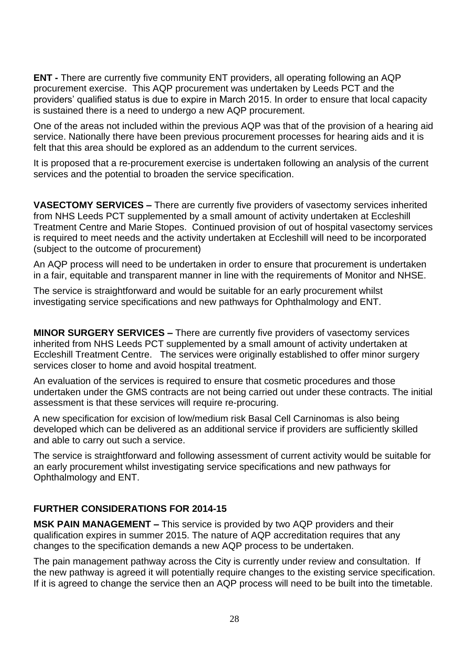**ENT -** There are currently five community ENT providers, all operating following an AQP procurement exercise. This AQP procurement was undertaken by Leeds PCT and the providers' qualified status is due to expire in March 2015. In order to ensure that local capacity is sustained there is a need to undergo a new AQP procurement.

One of the areas not included within the previous AQP was that of the provision of a hearing aid service. Nationally there have been previous procurement processes for hearing aids and it is felt that this area should be explored as an addendum to the current services.

It is proposed that a re-procurement exercise is undertaken following an analysis of the current services and the potential to broaden the service specification.

**VASECTOMY SERVICES –** There are currently five providers of vasectomy services inherited from NHS Leeds PCT supplemented by a small amount of activity undertaken at Eccleshill Treatment Centre and Marie Stopes. Continued provision of out of hospital vasectomy services is required to meet needs and the activity undertaken at Eccleshill will need to be incorporated (subject to the outcome of procurement)

An AQP process will need to be undertaken in order to ensure that procurement is undertaken in a fair, equitable and transparent manner in line with the requirements of Monitor and NHSE.

The service is straightforward and would be suitable for an early procurement whilst investigating service specifications and new pathways for Ophthalmology and ENT.

**MINOR SURGERY SERVICES –** There are currently five providers of vasectomy services inherited from NHS Leeds PCT supplemented by a small amount of activity undertaken at Eccleshill Treatment Centre. The services were originally established to offer minor surgery services closer to home and avoid hospital treatment.

An evaluation of the services is required to ensure that cosmetic procedures and those undertaken under the GMS contracts are not being carried out under these contracts. The initial assessment is that these services will require re-procuring.

A new specification for excision of low/medium risk Basal Cell Carninomas is also being developed which can be delivered as an additional service if providers are sufficiently skilled and able to carry out such a service.

The service is straightforward and following assessment of current activity would be suitable for an early procurement whilst investigating service specifications and new pathways for Ophthalmology and ENT.

# **FURTHER CONSIDERATIONS FOR 2014-15**

**MSK PAIN MANAGEMENT –** This service is provided by two AQP providers and their qualification expires in summer 2015. The nature of AQP accreditation requires that any changes to the specification demands a new AQP process to be undertaken.

The pain management pathway across the City is currently under review and consultation. If the new pathway is agreed it will potentially require changes to the existing service specification. If it is agreed to change the service then an AQP process will need to be built into the timetable.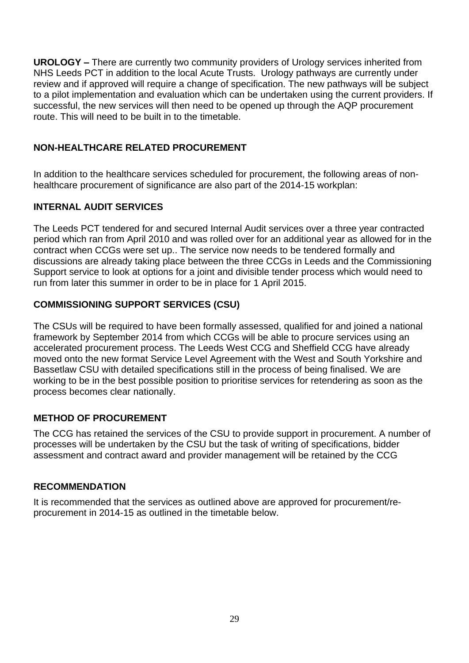**UROLOGY –** There are currently two community providers of Urology services inherited from NHS Leeds PCT in addition to the local Acute Trusts. Urology pathways are currently under review and if approved will require a change of specification. The new pathways will be subject to a pilot implementation and evaluation which can be undertaken using the current providers. If successful, the new services will then need to be opened up through the AQP procurement route. This will need to be built in to the timetable.

# **NON-HEALTHCARE RELATED PROCUREMENT**

In addition to the healthcare services scheduled for procurement, the following areas of nonhealthcare procurement of significance are also part of the 2014-15 workplan:

# **INTERNAL AUDIT SERVICES**

The Leeds PCT tendered for and secured Internal Audit services over a three year contracted period which ran from April 2010 and was rolled over for an additional year as allowed for in the contract when CCGs were set up.. The service now needs to be tendered formally and discussions are already taking place between the three CCGs in Leeds and the Commissioning Support service to look at options for a joint and divisible tender process which would need to run from later this summer in order to be in place for 1 April 2015.

# **COMMISSIONING SUPPORT SERVICES (CSU)**

The CSUs will be required to have been formally assessed, qualified for and joined a national framework by September 2014 from which CCGs will be able to procure services using an accelerated procurement process. The Leeds West CCG and Sheffield CCG have already moved onto the new format Service Level Agreement with the West and South Yorkshire and Bassetlaw CSU with detailed specifications still in the process of being finalised. We are working to be in the best possible position to prioritise services for retendering as soon as the process becomes clear nationally.

# **METHOD OF PROCUREMENT**

The CCG has retained the services of the CSU to provide support in procurement. A number of processes will be undertaken by the CSU but the task of writing of specifications, bidder assessment and contract award and provider management will be retained by the CCG

# **RECOMMENDATION**

It is recommended that the services as outlined above are approved for procurement/reprocurement in 2014-15 as outlined in the timetable below.